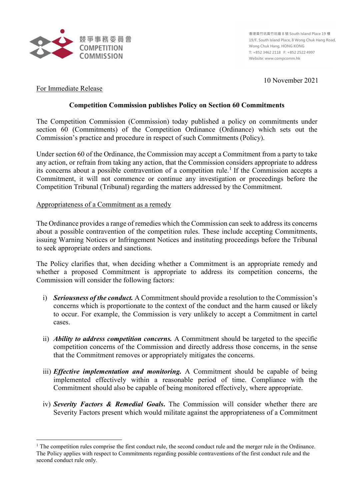

**香港黃竹坑黃竹坑道 8 號 South Island Place 19 樓 19/F, South Island Place, 8 Wong Chuk Hang Road, Wong Chuk Hang, HONG KONG T: +852 3462 2118 F: +852 2522 4997 Website: www.compcomm.hk**

10 November 2021

# For Immediate Release

 $\overline{\phantom{a}}$ 

## **Competition Commission publishes Policy on Section 60 Commitments**

The Competition Commission (Commission) today published a policy on commitments under section 60 (Commitments) of the Competition Ordinance (Ordinance) which sets out the Commission's practice and procedure in respect of such Commitments (Policy).

Under section 60 of the Ordinance, the Commission may accept a Commitment from a party to take any action, or refrain from taking any action, that the Commission considers appropriate to address its concerns about a possible contravention of a competition rule. [1](#page-0-0) If the Commission accepts a Commitment, it will not commence or continue any investigation or proceedings before the Competition Tribunal (Tribunal) regarding the matters addressed by the Commitment.

#### Appropriateness of a Commitment as a remedy

The Ordinance provides a range of remedies which the Commission can seek to address its concerns about a possible contravention of the competition rules. These include accepting Commitments, issuing Warning Notices or Infringement Notices and instituting proceedings before the Tribunal to seek appropriate orders and sanctions.

The Policy clarifies that, when deciding whether a Commitment is an appropriate remedy and whether a proposed Commitment is appropriate to address its competition concerns, the Commission will consider the following factors:

- i) *Seriousness of the conduct.* A Commitment should provide a resolution to the Commission's concerns which is proportionate to the context of the conduct and the harm caused or likely to occur. For example, the Commission is very unlikely to accept a Commitment in cartel cases.
- ii) *Ability to address competition concerns.* A Commitment should be targeted to the specific competition concerns of the Commission and directly address those concerns, in the sense that the Commitment removes or appropriately mitigates the concerns.
- iii) *Effective implementation and monitoring.* A Commitment should be capable of being implemented effectively within a reasonable period of time. Compliance with the Commitment should also be capable of being monitored effectively, where appropriate.
- iv) *Severity Factors & Remedial Goals***.** The Commission will consider whether there are Severity Factors present which would militate against the appropriateness of a Commitment

<span id="page-0-0"></span> $<sup>1</sup>$  The competition rules comprise the first conduct rule, the second conduct rule and the merger rule in the Ordinance.</sup> The Policy applies with respect to Commitments regarding possible contraventions of the first conduct rule and the second conduct rule only.